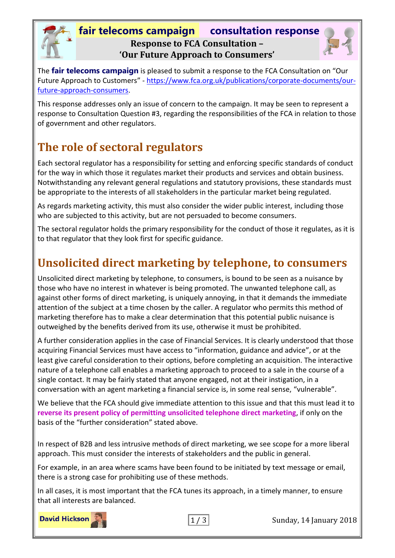#### **fair telecoms campaign consultation response Response to FCA Consultation – 'Our Future Approach to Consumers'**



The **fair telecoms campaign** is pleased to submit a response to the FCA Consultation on "Our Future Approach to Customers" - [https://www.fca.org.uk/publications/corporate-documents/our](https://www.fca.org.uk/publications/corporate-documents/our-future-approach-consumers)[future-approach-consumers.](https://www.fca.org.uk/publications/corporate-documents/our-future-approach-consumers)

This response addresses only an issue of concern to the campaign. It may be seen to represent a response to Consultation Question #3, regarding the responsibilities of the FCA in relation to those of government and other regulators.

# **The role of sectoral regulators**

Each sectoral regulator has a responsibility for setting and enforcing specific standards of conduct for the way in which those it regulates market their products and services and obtain business. Notwithstanding any relevant general regulations and statutory provisions, these standards must be appropriate to the interests of all stakeholders in the particular market being regulated.

As regards marketing activity, this must also consider the wider public interest, including those who are subjected to this activity, but are not persuaded to become consumers.

The sectoral regulator holds the primary responsibility for the conduct of those it regulates, as it is to that regulator that they look first for specific guidance.

### **Unsolicited direct marketing by telephone, to consumers**

Unsolicited direct marketing by telephone, to consumers, is bound to be seen as a nuisance by those who have no interest in whatever is being promoted. The unwanted telephone call, as against other forms of direct marketing, is uniquely annoying, in that it demands the immediate attention of the subject at a time chosen by the caller. A regulator who permits this method of marketing therefore has to make a clear determination that this potential public nuisance is outweighed by the benefits derived from its use, otherwise it must be prohibited.

A further consideration applies in the case of Financial Services. It is clearly understood that those acquiring Financial Services must have access to "information, guidance and advice", or at the least give careful consideration to their options, before completing an acquisition. The interactive nature of a telephone call enables a marketing approach to proceed to a sale in the course of a single contact. It may be fairly stated that anyone engaged, not at their instigation, in a conversation with an agent marketing a financial service is, in some real sense, "vulnerable".

We believe that the FCA should give immediate attention to this issue and that this must lead it to **reverse its present policy of permitting unsolicited telephone direct marketing**, if only on the basis of the "further consideration" stated above.

In respect of B2B and less intrusive methods of direct marketing, we see scope for a more liberal approach. This must consider the interests of stakeholders and the public in general.

For example, in an area where scams have been found to be initiated by text message or email, there is a strong case for prohibiting use of these methods.

In all cases, it is most important that the FCA tunes its approach, in a timely manner, to ensure that all interests are balanced.

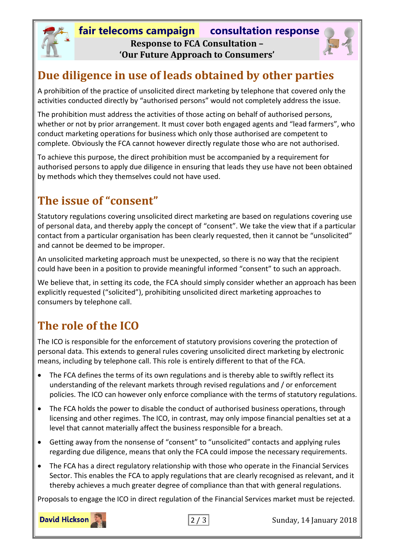

## **Due diligence in use of leads obtained by other parties**

A prohibition of the practice of unsolicited direct marketing by telephone that covered only the activities conducted directly by "authorised persons" would not completely address the issue.

The prohibition must address the activities of those acting on behalf of authorised persons, whether or not by prior arrangement. It must cover both engaged agents and "lead farmers", who conduct marketing operations for business which only those authorised are competent to complete. Obviously the FCA cannot however directly regulate those who are not authorised.

To achieve this purpose, the direct prohibition must be accompanied by a requirement for authorised persons to apply due diligence in ensuring that leads they use have not been obtained by methods which they themselves could not have used.

## **The issue of "consent"**

Statutory regulations covering unsolicited direct marketing are based on regulations covering use of personal data, and thereby apply the concept of "consent". We take the view that if a particular contact from a particular organisation has been clearly requested, then it cannot be "unsolicited" and cannot be deemed to be improper.

An unsolicited marketing approach must be unexpected, so there is no way that the recipient could have been in a position to provide meaningful informed "consent" to such an approach.

We believe that, in setting its code, the FCA should simply consider whether an approach has been explicitly requested ("solicited"), prohibiting unsolicited direct marketing approaches to consumers by telephone call.

# **The role of the ICO**

The ICO is responsible for the enforcement of statutory provisions covering the protection of personal data. This extends to general rules covering unsolicited direct marketing by electronic means, including by telephone call. This role is entirely different to that of the FCA.

- The FCA defines the terms of its own regulations and is thereby able to swiftly reflect its understanding of the relevant markets through revised regulations and / or enforcement policies. The ICO can however only enforce compliance with the terms of statutory regulations.
- The FCA holds the power to disable the conduct of authorised business operations, through licensing and other regimes. The ICO, in contrast, may only impose financial penalties set at a level that cannot materially affect the business responsible for a breach.
- Getting away from the nonsense of "consent" to "unsolicited" contacts and applying rules regarding due diligence, means that only the FCA could impose the necessary requirements.
- The FCA has a direct regulatory relationship with those who operate in the Financial Services Sector. This enables the FCA to apply regulations that are clearly recognised as relevant, and it thereby achieves a much greater degree of compliance than that with general regulations.

Proposals to engage the ICO in direct regulation of the Financial Services market must be rejected.



2 / 3 Sunday, 14 January 2018